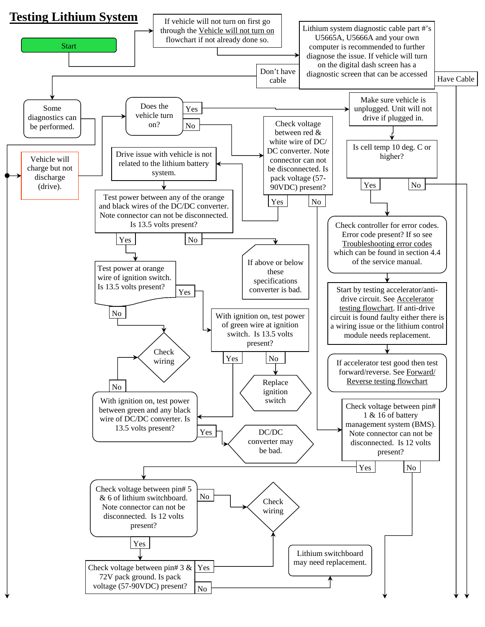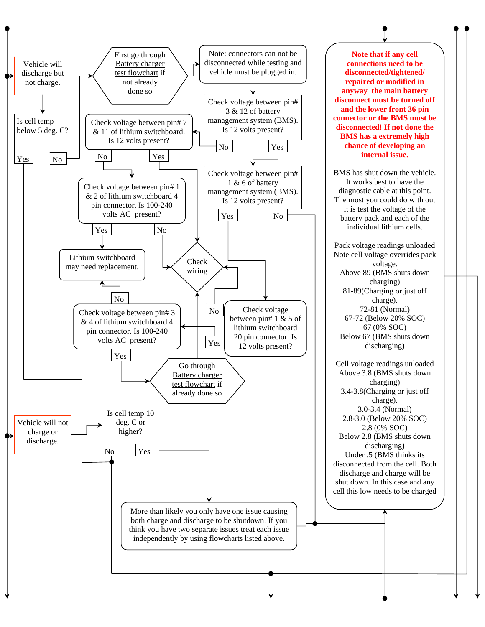

**Note that if any cell connections need to be disconnected/tightened/ repaired or modified in anyway the main battery disconnect must be turned off and the lower front 36 pin connector or the BMS must be disconnected! If not done the BMS has a extremely high chance of developing an internal issue.** 

BMS has shut down the vehicle. It works best to have the diagnostic cable at this point. The most you could do with out it is test the voltage of the battery pack and each of the individual lithium cells.

Pack voltage readings unloaded Note cell voltage overrides pack voltage. Above 89 (BMS shuts down charging) 81-89(Charging or just off charge). 72-81 (Normal) 67-72 (Below 20% SOC) 67 (0% SOC) Below 67 (BMS shuts down discharging)

Cell voltage readings unloaded Above 3.8 (BMS shuts down charging) 3.4-3.8(Charging or just off charge). 3.0-3.4 (Normal) 2.8-3.0 (Below 20% SOC) 2.8 (0% SOC) Below 2.8 (BMS shuts down discharging) Under .5 (BMS thinks its disconnected from the cell. Both discharge and charge will be shut down. In this case and any cell this low needs to be charged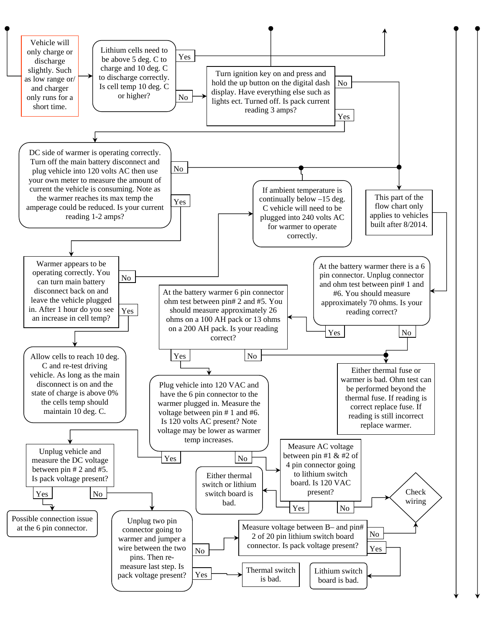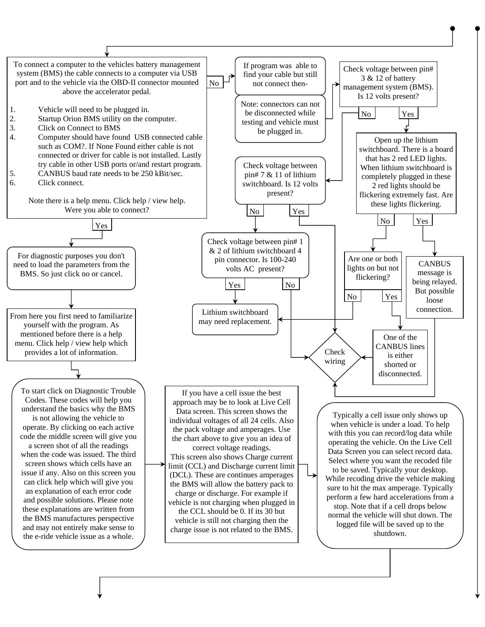